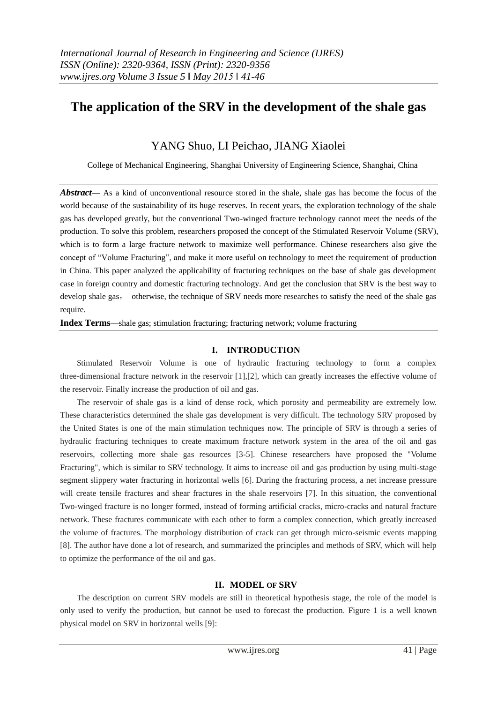# **The application of the SRV in the development of the shale gas**

# YANG Shuo, LI Peichao, JIANG Xiaolei

College of Mechanical Engineering, Shanghai University of Engineering Science, Shanghai, China

*Abstract*— As a kind of unconventional resource stored in the shale, shale gas has become the focus of the world because of the sustainability of its huge reserves. In recent years, the exploration technology of the shale gas has developed greatly, but the conventional Two-winged fracture technology cannot meet the needs of the production. To solve this problem, researchers proposed the concept of the Stimulated Reservoir Volume (SRV), which is to form a large fracture network to maximize well performance. Chinese researchers also give the concept of "Volume Fracturing", and make it more useful on technology to meet the requirement of production in China. This paper analyzed the applicability of fracturing techniques on the base of shale gas development case in foreign country and domestic fracturing technology. And get the conclusion that SRV is the best way to develop shale gas, otherwise, the technique of SRV needs more researches to satisfy the need of the shale gas require.

**Index Terms**—shale gas; stimulation fracturing; fracturing network; volume fracturing

### **I. INTRODUCTION**

Stimulated Reservoir Volume is one of hydraulic fracturing technology to form a complex three-dimensional fracture network in the reservoir [1],[2], which can greatly increases the effective volume of the reservoir. Finally increase the production of oil and gas.

The reservoir of shale gas is a kind of dense rock, which porosity and permeability are extremely low. These characteristics determined the shale gas development is very difficult. The technology SRV proposed by the United States is one of the main stimulation techniques now. The principle of SRV is through a series of hydraulic fracturing techniques to create maximum fracture network system in the area of the oil and gas reservoirs, collecting more shale gas resources [3-5]. Chinese researchers have proposed the "Volume Fracturing", which is similar to SRV technology. It aims to increase oil and gas production by using multi-stage segment slippery water fracturing in horizontal wells [6]. During the fracturing process, a net increase pressure will create tensile fractures and shear fractures in the shale reservoirs [7]. In this situation, the conventional Two-winged fracture is no longer formed, instead of forming artificial cracks, micro-cracks and natural fracture network. These fractures communicate with each other to form a complex connection, which greatly increased the volume of fractures. The morphology distribution of crack can get through micro-seismic events mapping [8]. The author have done a lot of research, and summarized the principles and methods of SRV, which will help to optimize the performance of the oil and gas.

## **II. MODEL OF SRV**

The description on current SRV models are still in theoretical hypothesis stage, the role of the model is only used to verify the production, but cannot be used to forecast the production. Figure 1 is a well known physical model on SRV in horizontal wells [9]: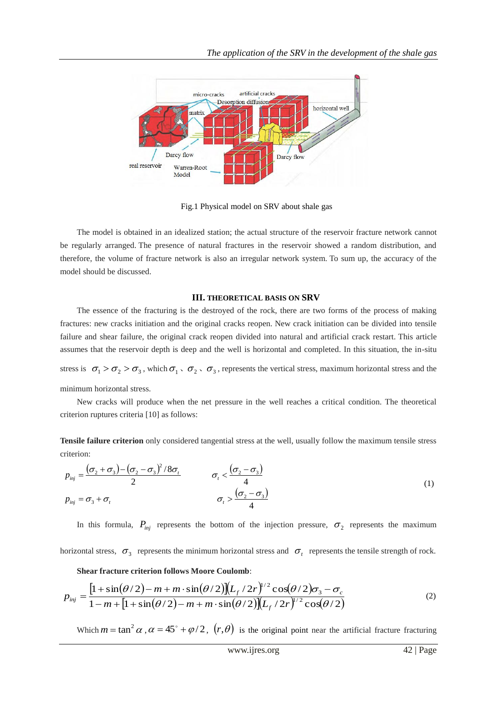

Fig.1 Physical model on SRV about shale gas

The model is obtained in an idealized station; the actual structure of the reservoir fracture network cannot be regularly arranged. The presence of natural fractures in the reservoir showed a random distribution, and therefore, the volume of fracture network is also an irregular network system. To sum up, the accuracy of the model should be discussed.

#### **III. THEORETICAL BASIS ON SRV**

The essence of the fracturing is the destroyed of the rock, there are two forms of the process of making fractures: new cracks initiation and the original cracks reopen. New crack initiation can be divided into tensile failure and shear failure, the original crack reopen divided into natural and artificial crack restart. This article assumes that the reservoir depth is deep and the well is horizontal and completed. In this situation, the in-situ

stress is  $\sigma_1 > \sigma_2 > \sigma_3$ , which  $\sigma_1 \circ \sigma_2 \circ \sigma_3$ , represents the vertical stress, maximum horizontal stress and the minimum horizontal stress.

New cracks will produce when the net pressure in the well reaches a critical condition. The theoretical criterion ruptures criteria [10] as follows:

**Tensile failure criterion** only considered tangential stress at the well, usually follow the maximum tensile stress criterion:

$$
p_{\text{inj}} = \frac{(\sigma_2 + \sigma_3) - (\sigma_2 - \sigma_3)^2 / 8\sigma_t}{2} \qquad \sigma_t < \frac{(\sigma_2 - \sigma_3)}{4}
$$
  
\n
$$
p_{\text{inj}} = \sigma_3 + \sigma_t \qquad \sigma_t > \frac{(\sigma_2 - \sigma_3)}{4}
$$
 (1)

In this formula,  $P_{inj}$  represents the bottom of the injection pressure,  $\sigma_2$  represents the maximum

horizontal stress,  $\sigma_3$  represents the minimum horizontal stress and  $\sigma_t$  represents the tensile strength of rock.

#### **Shear fracture criterion follows Moore Coulomb**:

$$
p_{\text{inj}} = \frac{\left[1 + \sin(\theta/2) - m + m \cdot \sin(\theta/2)\right]\left(L_f/2r\right)^{1/2} \cos(\theta/2)\sigma_3 - \sigma_c}{1 - m + \left[1 + \sin(\theta/2) - m + m \cdot \sin(\theta/2)\right]\left(L_f/2r\right)^{1/2} \cos(\theta/2)}
$$
(2)

Which  $m = \tan^2 \alpha$ ,  $\alpha = 45^\circ + \varphi/2$ ,  $(r, \theta)$  is the original point near the artificial fracture fracturing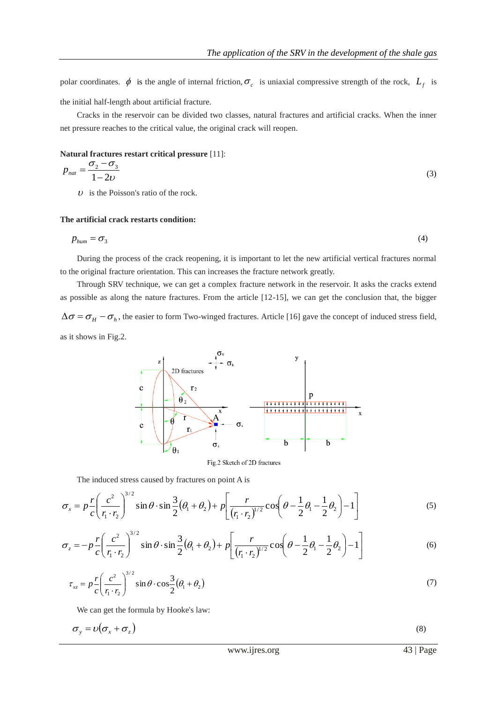polar coordinates.  $\phi$  is the angle of internal friction,  $\sigma_c$  is uniaxial compressive strength of the rock,  $L_f$  is the initial half-length about artificial fracture.

Cracks in the reservoir can be divided two classes, natural fractures and artificial cracks. When the inner net pressure reaches to the critical value, the original crack will reopen.

#### **Natural fractures restart critical pressure** [11]:

$$
p_{nat} = \frac{\sigma_2 - \sigma_3}{1 - 2\nu} \tag{3}
$$

 $\upsilon$  is the Poisson's ratio of the rock.

#### **The artificial crack restarts condition:**

$$
p_{\text{hum}} = \sigma_3 \tag{4}
$$

During the process of the crack reopening, it is important to let the new artificial vertical fractures normal to the original fracture orientation. This can increases the fracture network greatly.

Through SRV technique, we can get a complex fracture network in the reservoir. It asks the cracks extend as possible as along the nature fractures. From the article [12-15], we can get the conclusion that, the bigger  $\Delta\sigma = \sigma_H - \sigma_h$ , the easier to form Two-winged fractures. Article [16] gave the concept of induced stress field,

as it shows in Fig.2.



Fig.2 Sketch of 2D fractures

The induced stress caused by fractures on point A is

$$
\sigma_x = p \frac{r}{c} \left( \frac{c^2}{r_1 \cdot r_2} \right)^{3/2} \sin \theta \cdot \sin \frac{3}{2} (\theta_1 + \theta_2) + p \left[ \frac{r}{(r_1 \cdot r_2)^{1/2}} \cos \left( \theta - \frac{1}{2} \theta_1 - \frac{1}{2} \theta_2 \right) - 1 \right]
$$
(5)

$$
\sigma_z = -p\frac{r}{c} \left(\frac{c^2}{r_1 \cdot r_2}\right)^{3/2} \sin\theta \cdot \sin\frac{3}{2} (\theta_1 + \theta_2) + p \left[\frac{r}{(r_1 \cdot r_2)^{1/2}} \cos\left(\theta - \frac{1}{2}\theta_1 - \frac{1}{2}\theta_2\right) - 1\right]
$$
(6)

$$
\tau_{xz} = p \frac{r}{c} \left( \frac{c^2}{r_1 \cdot r_2} \right)^{3/2} \sin \theta \cdot \cos \frac{3}{2} (\theta_1 + \theta_2)
$$
\n(7)

We can get the formula by Hooke's law:

$$
\sigma_y = v(\sigma_x + \sigma_z) \tag{8}
$$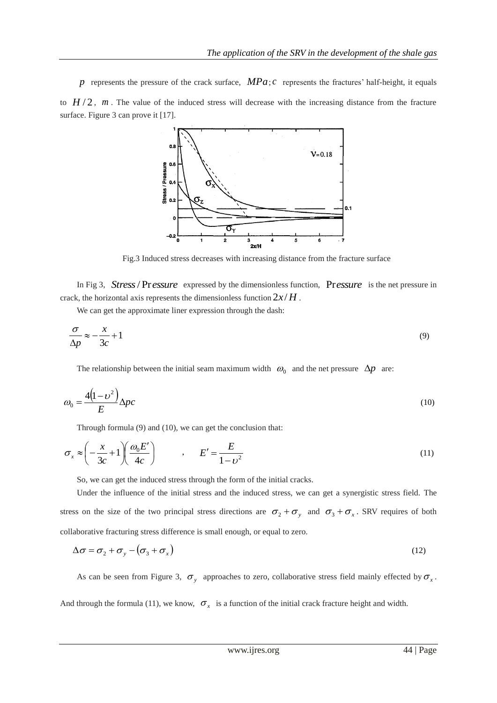p represents the pressure of the crack surface,  $MPa$ ; c represents the fractures' half-height, it equals to  $H/2$ ,  $m$ . The value of the induced stress will decrease with the increasing distance from the fracture surface. Figure 3 can prove it [17].



Fig.3 Induced stress decreases with increasing distance from the fracture surface

In Fig 3, Stress / Pressure expressed by the dimensionless function, Pressure is the net pressure in crack, the horizontal axis represents the dimensionless function  $2x/H$ .

We can get the approximate liner expression through the dash:

$$
\frac{\sigma}{\Delta p} \approx -\frac{x}{3c} + 1\tag{9}
$$

The relationship between the initial seam maximum width  $\omega_0$  and the net pressure  $\Delta p$  are:

$$
\omega_0 = \frac{4(1 - \nu^2)}{E} \Delta p c \tag{10}
$$

Through formula (9) and (10), we can get the conclusion that:

$$
\sigma_x \approx \left(-\frac{x}{3c} + 1\right) \left(\frac{\omega_0 E'}{4c}\right) \qquad , \qquad E' = \frac{E}{1 - v^2} \tag{11}
$$

So, we can get the induced stress through the form of the initial cracks.

Under the influence of the initial stress and the induced stress, we can get a synergistic stress field. The stress on the size of the two principal stress directions are  $\sigma_2 + \sigma_y$  and  $\sigma_3 + \sigma_x$ . SRV requires of both collaborative fracturing stress difference is small enough, or equal to zero.

$$
\Delta \sigma = \sigma_2 + \sigma_y - (\sigma_3 + \sigma_x) \tag{12}
$$

As can be seen from Figure 3,  $\sigma_y$  approaches to zero, collaborative stress field mainly effected by  $\sigma_x$ .

And through the formula (11), we know,  $\sigma_x$  is a function of the initial crack fracture height and width.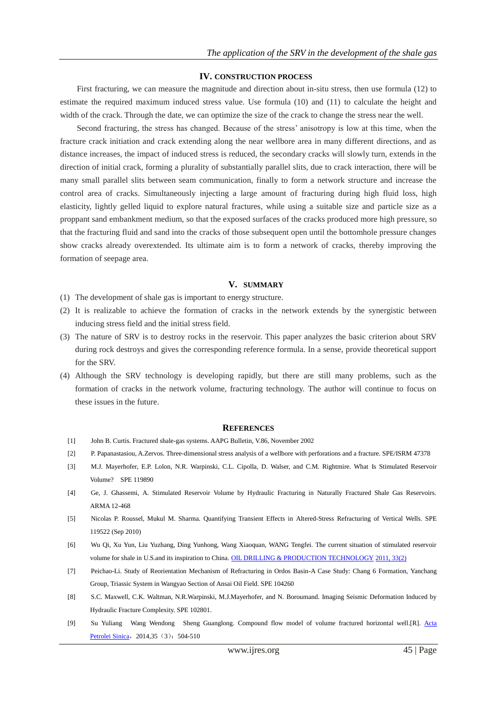#### **IV. CONSTRUCTION PROCESS**

First fracturing, we can measure the magnitude and direction about in-situ stress, then use formula (12) to estimate the required maximum induced stress value. Use formula (10) and (11) to calculate the height and width of the crack. Through the date, we can optimize the size of the crack to change the stress near the well.

Second fracturing, the stress has changed. Because of the stress' anisotropy is low at this time, when the fracture crack initiation and crack extending along the near wellbore area in many different directions, and as distance increases, the impact of induced stress is reduced, the secondary cracks will slowly turn, extends in the direction of initial crack, forming a plurality of substantially parallel slits, due to crack interaction, there will be many small parallel slits between seam communication, finally to form a network structure and increase the control area of cracks. Simultaneously injecting a large amount of fracturing during high fluid loss, high elasticity, lightly gelled liquid to explore natural fractures, while using a suitable size and particle size as a proppant sand embankment medium, so that the exposed surfaces of the cracks produced more high pressure, so that the fracturing fluid and sand into the cracks of those subsequent open until the bottomhole pressure changes show cracks already overextended. Its ultimate aim is to form a network of cracks, thereby improving the formation of seepage area.

#### **V. SUMMARY**

- (1) The development of shale gas is important to energy structure.
- (2) It is realizable to achieve the formation of cracks in the network extends by the synergistic between inducing stress field and the initial stress field.
- (3) The nature of SRV is to destroy rocks in the reservoir. This paper analyzes the basic criterion about SRV during rock destroys and gives the corresponding reference formula. In a sense, provide theoretical support for the SRV.
- (4) Although the SRV technology is developing rapidly, but there are still many problems, such as the formation of cracks in the network volume, fracturing technology. The author will continue to focus on these issues in the future.

#### **REFERENCES**

- [1] John B. Curtis. Fractured shale-gas systems. AAPG Bulletin, V.86, November 2002
- [2] P. Papanastasiou, A.Zervos. Three-dimensional stress analysis of a wellbore with perforations and a fracture. SPE/ISRM 47378
- [3] M.J. Mayerhofer, E.P. Lolon, N.R. Warpinski, C.L. Cipolla, D. Walser, and C.M. Rightmire. What Is Stimulated Reservoir Volume? SPE 119890
- [4] Ge, J. Ghassemi, A. Stimulated Reservoir Volume by Hydraulic Fracturing in Naturally Fractured Shale Gas Reservoirs. ARMA 12-468
- [5] Nicolas P. Roussel, Mukul M. Sharma. Quantifying Transient Effects in Altered-Stress Refracturing of Vertical Wells. SPE 119522 (Sep 2010)
- [6] Wu Qi, Xu Yun, Liu Yuzhang, Ding Yunhong, Wang Xiaoquan, WANG Tengfei. The current situation of stimulated reservoir volume for shale in U.S.and its inspiration to China. [OIL DRILLING & PRODUCTION TECHNOLOGY](http://c.wanfangdata.com.cn/Periodical-syzcgy.aspx) [2011, 33\(2\)](http://c.wanfangdata.com.cn/periodical/syzcgy/2011-2.aspx)
- [7] Peichao-Li. Study of Reorientation Mechanism of Refracturing in Ordos Basin-A Case Study: Chang 6 Formation, Yanchang Group, Triassic System in Wangyao Section of Ansai Oil Field. SPE 104260
- [8] S.C. Maxwell, C.K. Waltman, N.R.Warpinski, M.J.Mayerhofer, and N. Boroumand. Imaging Seismic Deformation Induced by Hydraulic Fracture Complexity. SPE 102801.
- [9] Su Yuliang Wang Wendong Sheng Guanglong. Compound flow model of volume fractured horizontal well.[R]. [Acta](http://c.wanfangdata.com.cn/Periodical-syxb.aspx)  [Petrolei Sinica](http://c.wanfangdata.com.cn/Periodical-syxb.aspx), 2014,35 (3): 504-510